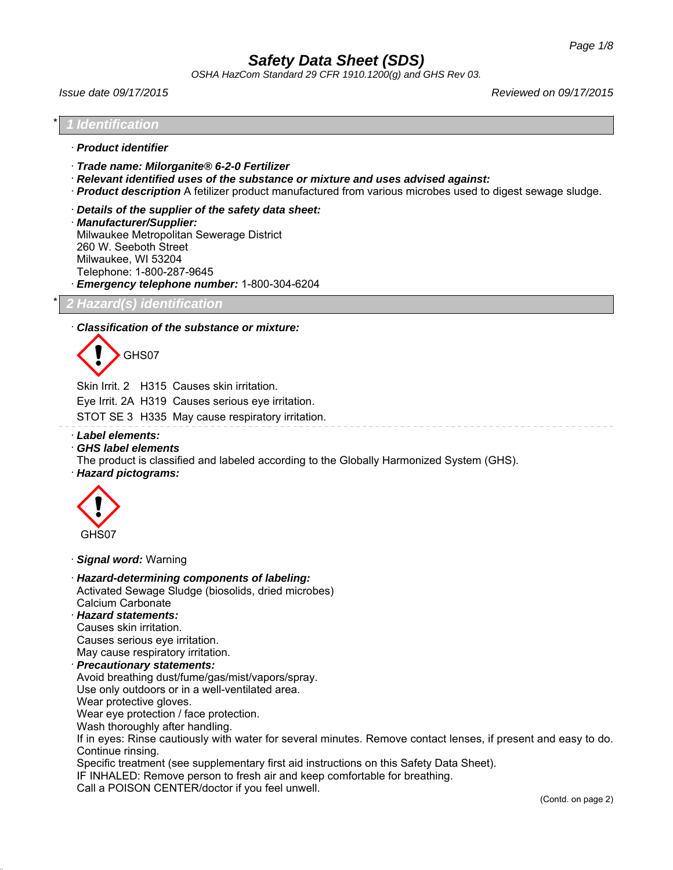*OSHA HazCom Standard 29 CFR 1910.1200(g) and GHS Rev 03.*

*Issue date 09/17/2015 Reviewed on 09/17/2015*

### \* *1 Identification*

- · *Product identifier*
- · *Trade name: Milorganite® 6-2-0 Fertilizer*
- · *Relevant identified uses of the substance or mixture and uses advised against:*
- · *Product description* A fetilizer product manufactured from various microbes used to digest sewage sludge.
- · *Details of the supplier of the safety data sheet:*
- · *Manufacturer/Supplier:* Milwaukee Metropolitan Sewerage District 260 W. Seeboth Street Milwaukee, WI 53204 Telephone: 1-800-287-9645

· *Emergency telephone number:* 1-800-304-6204

## \* *2 Hazard(s) identification*

## · *Classification of the substance or mixture:*



Skin Irrit. 2 H315 Causes skin irritation.

Eye Irrit. 2A H319 Causes serious eye irritation.

STOT SE 3 H335 May cause respiratory irritation.

- · *Label elements:*
- · *GHS label elements*

The product is classified and labeled according to the Globally Harmonized System (GHS).

· *Hazard pictograms:*



· *Signal word:* Warning

· *Hazard-determining components of labeling:* Activated Sewage Sludge (biosolids, dried microbes) Calcium Carbonate

# · *Hazard statements:*

Causes skin irritation. Causes serious eye irritation.

May cause respiratory irritation.

## · *Precautionary statements:*

Avoid breathing dust/fume/gas/mist/vapors/spray.

Use only outdoors or in a well-ventilated area.

Wear protective gloves.

Wear eye protection / face protection.

Wash thoroughly after handling.

If in eyes: Rinse cautiously with water for several minutes. Remove contact lenses, if present and easy to do. Continue rinsing.

Specific treatment (see supplementary first aid instructions on this Safety Data Sheet).

IF INHALED: Remove person to fresh air and keep comfortable for breathing.

Call a POISON CENTER/doctor if you feel unwell.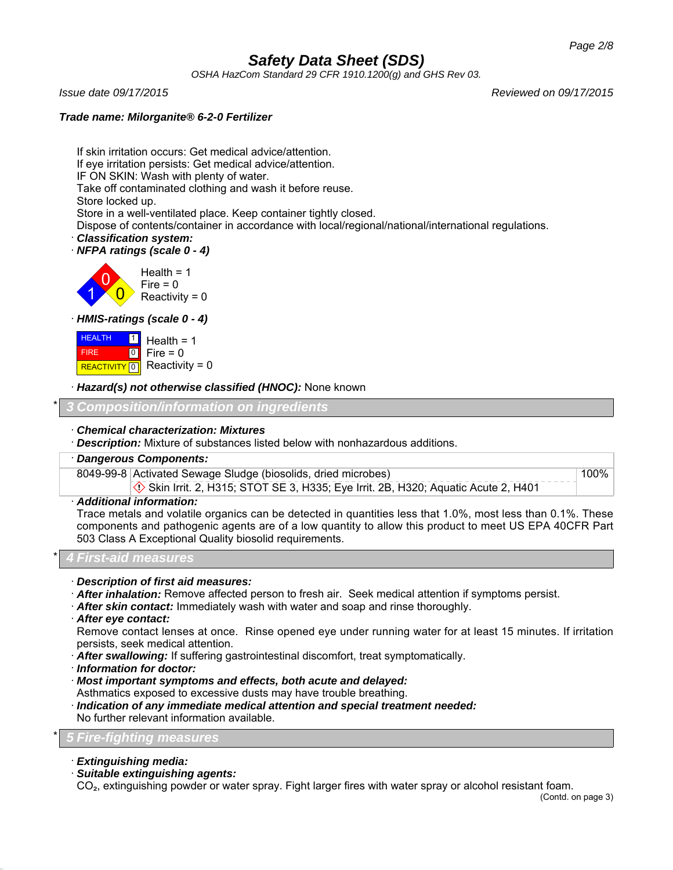*OSHA HazCom Standard 29 CFR 1910.1200(g) and GHS Rev 03.*

*Issue date 09/17/2015 Reviewed on 09/17/2015*

## *Trade name: Milorganite® 6-2-0 Fertilizer*

If skin irritation occurs: Get medical advice/attention. If eye irritation persists: Get medical advice/attention.

IF ON SKIN: Wash with plenty of water.

Take off contaminated clothing and wash it before reuse.

Store locked up.

Store in a well-ventilated place. Keep container tightly closed.

Dispose of contents/container in accordance with local/regional/national/international regulations.

- · *Classification system:*
- · *NFPA ratings (scale 0 4)*



· *HMIS-ratings (scale 0 - 4)*

| <b>HEALTH</b><br>$\vert$ 1 $\vert$ | Health = $1$                |
|------------------------------------|-----------------------------|
| <b>FIRE</b>                        | $ 0 $ Fire = 0              |
|                                    | REACTIVITY 0 Reactivity = 0 |

· *Hazard(s) not otherwise classified (HNOC):* None known

\* *3 Composition/information on ingredients*

## · *Chemical characterization: Mixtures*

· *Description:* Mixture of substances listed below with nonhazardous additions.

## · *Dangerous Components:*

8049-99-8 Activated Sewage Sludge (biosolids, dried microbes)  $\Diamond$  Skin Irrit. 2, H315; STOT SE 3, H335; Eye Irrit. 2B, H320; Aquatic Acute 2, H401

## · *Additional information:*

Trace metals and volatile organics can be detected in quantities less that 1.0%, most less than 0.1%. These components and pathogenic agents are of a low quantity to allow this product to meet US EPA 40CFR Part 503 Class A Exceptional Quality biosolid requirements.

## \* *4 First-aid measures*

- · *Description of first aid measures:*
- · *After inhalation:* Remove affected person to fresh air. Seek medical attention if symptoms persist.
- · *After skin contact:* Immediately wash with water and soap and rinse thoroughly.
- · *After eye contact:*

Remove contact lenses at once. Rinse opened eye under running water for at least 15 minutes. If irritation persists, seek medical attention.

- · *After swallowing:* If suffering gastrointestinal discomfort, treat symptomatically.
- · *Information for doctor:*
- · *Most important symptoms and effects, both acute and delayed:*
- Asthmatics exposed to excessive dusts may have trouble breathing.
- · *Indication of any immediate medical attention and special treatment needed:* No further relevant information available.

## \* *5 Fire-fighting measures*

- · *Extinguishing media:*
- · *Suitable extinguishing agents:*

CO<sub>2</sub>, extinguishing powder or water spray. Fight larger fires with water spray or alcohol resistant foam.

100%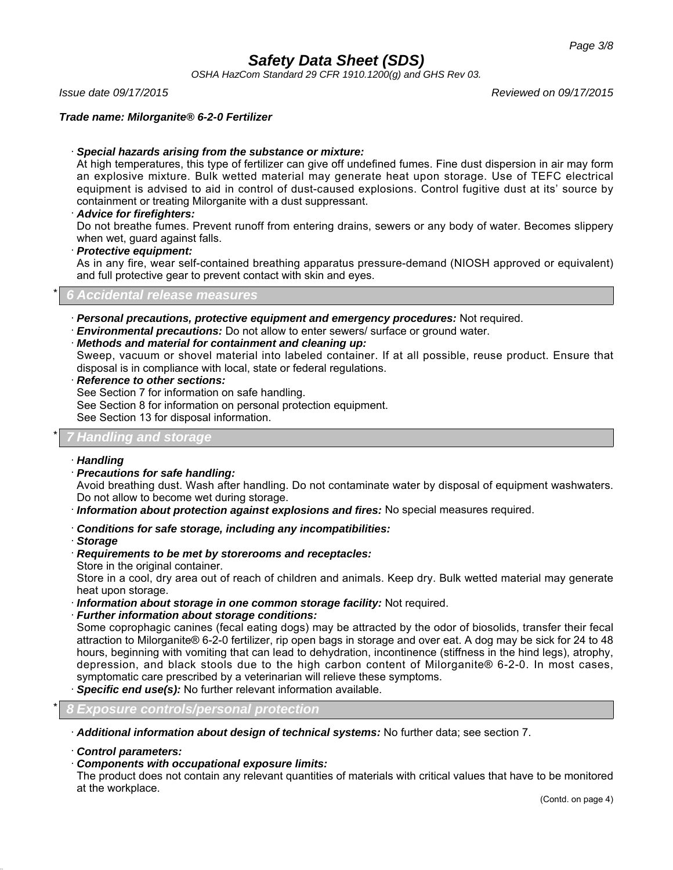*OSHA HazCom Standard 29 CFR 1910.1200(g) and GHS Rev 03.*

*Issue date 09/17/2015 Reviewed on 09/17/2015*

## *Trade name: Milorganite® 6-2-0 Fertilizer*

## · *Special hazards arising from the substance or mixture:*

At high temperatures, this type of fertilizer can give off undefined fumes. Fine dust dispersion in air may form an explosive mixture. Bulk wetted material may generate heat upon storage. Use of TEFC electrical equipment is advised to aid in control of dust-caused explosions. Control fugitive dust at its' source by containment or treating Milorganite with a dust suppressant.

### · *Advice for firefighters:*

Do not breathe fumes. Prevent runoff from entering drains, sewers or any body of water. Becomes slippery when wet, guard against falls.

## · *Protective equipment:*

As in any fire, wear self-contained breathing apparatus pressure-demand (NIOSH approved or equivalent) and full protective gear to prevent contact with skin and eyes.

### \* *6 Accidental release measures*

- · *Personal precautions, protective equipment and emergency procedures:* Not required.
- · *Environmental precautions:* Do not allow to enter sewers/ surface or ground water.

### · *Methods and material for containment and cleaning up:*

Sweep, vacuum or shovel material into labeled container. If at all possible, reuse product. Ensure that disposal is in compliance with local, state or federal regulations.

· *Reference to other sections:*

See Section 7 for information on safe handling.

See Section 8 for information on personal protection equipment.

See Section 13 for disposal information.

## \* *7 Handling and storage*

### · *Handling*

· *Precautions for safe handling:*

Avoid breathing dust. Wash after handling. Do not contaminate water by disposal of equipment washwaters. Do not allow to become wet during storage.

- · *Information about protection against explosions and fires:* No special measures required.
- · *Conditions for safe storage, including any incompatibilities:*
- · *Storage*
- · *Requirements to be met by storerooms and receptacles:*
- Store in the original container.

Store in a cool, dry area out of reach of children and animals. Keep dry. Bulk wetted material may generate heat upon storage.

- · *Information about storage in one common storage facility:* Not required.
- · *Further information about storage conditions:*

Some coprophagic canines (fecal eating dogs) may be attracted by the odor of biosolids, transfer their fecal attraction to Milorganite® 6-2-0 fertilizer, rip open bags in storage and over eat. A dog may be sick for 24 to 48 hours, beginning with vomiting that can lead to dehydration, incontinence (stiffness in the hind legs), atrophy, depression, and black stools due to the high carbon content of Milorganite® 6-2-0. In most cases, symptomatic care prescribed by a veterinarian will relieve these symptoms.

**Specific end use(s):** No further relevant information available.

## \* *8 Exposure controls/personal protection*

· *Additional information about design of technical systems:* No further data; see section 7.

· *Control parameters:*

### · *Components with occupational exposure limits:*

The product does not contain any relevant quantities of materials with critical values that have to be monitored at the workplace.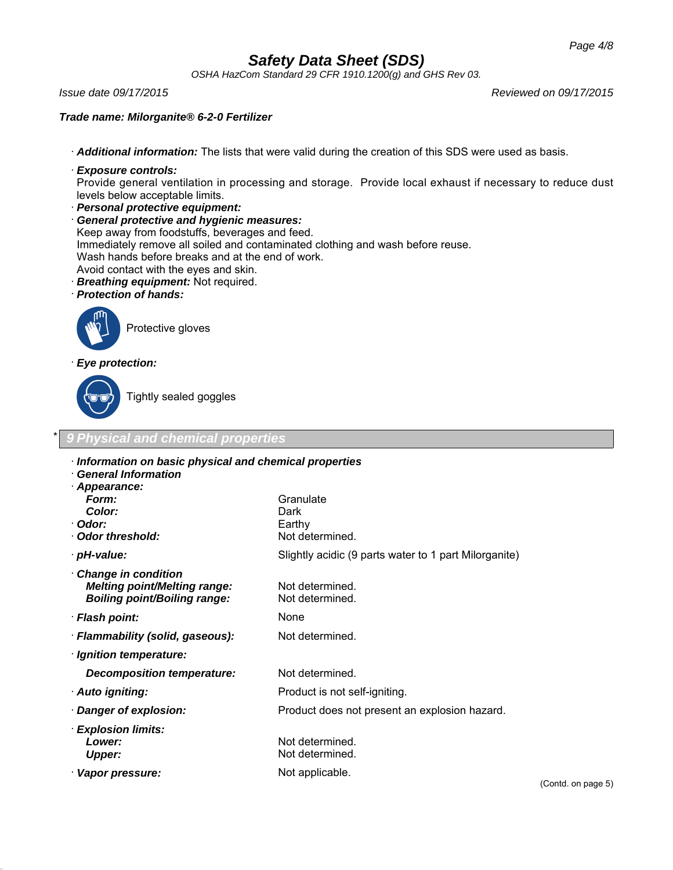*OSHA HazCom Standard 29 CFR 1910.1200(g) and GHS Rev 03.*

*Issue date 09/17/2015 Reviewed on 09/17/2015*

## *Trade name: Milorganite® 6-2-0 Fertilizer*

· *Additional information:* The lists that were valid during the creation of this SDS were used as basis.

· *Exposure controls:*

Provide general ventilation in processing and storage. Provide local exhaust if necessary to reduce dust levels below acceptable limits.

· *Personal protective equipment:*

· *General protective and hygienic measures:* Keep away from foodstuffs, beverages and feed. Immediately remove all soiled and contaminated clothing and wash before reuse. Wash hands before breaks and at the end of work. Avoid contact with the eyes and skin. · *Breathing equipment:* Not required.

- · *Protection of hands:*
- 



Protective gloves

· *Eye protection:*



Tightly sealed goggles

## **Physical and chemical properties**

| Information on basic physical and chemical properties |                                                       |  |
|-------------------------------------------------------|-------------------------------------------------------|--|
| <b>General Information</b>                            |                                                       |  |
| · Appearance:                                         |                                                       |  |
| Form:                                                 | Granulate                                             |  |
| Color:                                                | Dark                                                  |  |
| · Odor:                                               | Earthy                                                |  |
| Odor threshold:                                       | Not determined.                                       |  |
| · pH-value:                                           | Slightly acidic (9 parts water to 1 part Milorganite) |  |
| Change in condition                                   |                                                       |  |
| <b>Melting point/Melting range:</b>                   | Not determined.                                       |  |
| <b>Boiling point/Boiling range:</b>                   | Not determined.                                       |  |
| · Flash point:                                        | None                                                  |  |
| · Flammability (solid, gaseous):                      | Not determined.                                       |  |
| · Ignition temperature:                               |                                                       |  |
| Decomposition temperature:                            | Not determined.                                       |  |
| · Auto igniting:                                      | Product is not self-igniting.                         |  |
| · Danger of explosion:                                | Product does not present an explosion hazard.         |  |
| · Explosion limits:                                   |                                                       |  |
| Lower:                                                | Not determined.                                       |  |
| <b>Upper:</b>                                         | Not determined.                                       |  |
| · Vapor pressure:                                     | Not applicable.                                       |  |
|                                                       |                                                       |  |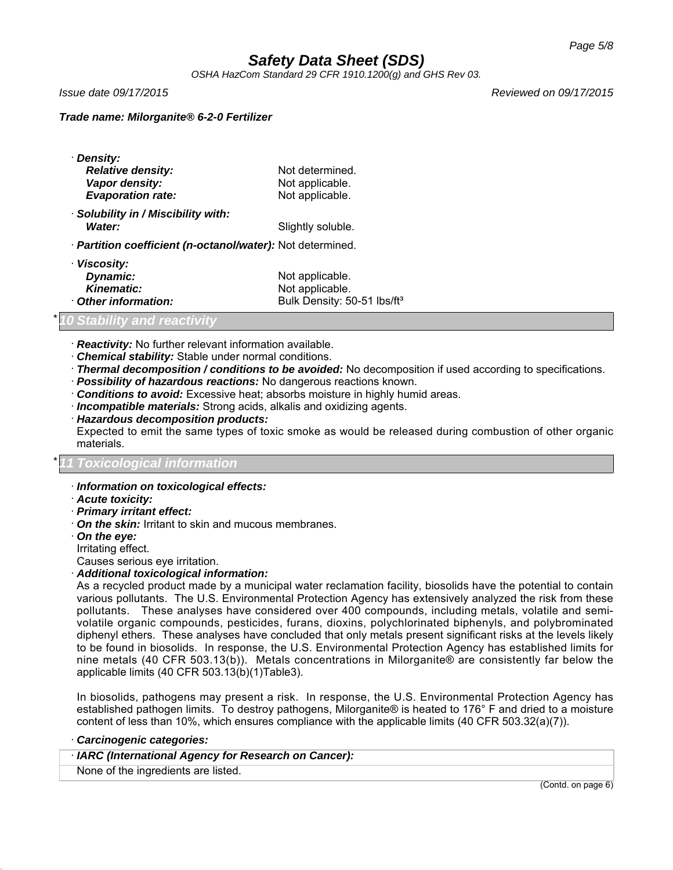*OSHA HazCom Standard 29 CFR 1910.1200(g) and GHS Rev 03.*

*Issue date 09/17/2015 Reviewed on 09/17/2015*

## *Trade name: Milorganite® 6-2-0 Fertilizer*

| · Density:                                                 |                   |  |  |
|------------------------------------------------------------|-------------------|--|--|
| <b>Relative density:</b>                                   | Not determined.   |  |  |
| Vapor density:                                             | Not applicable.   |  |  |
| <b>Evaporation rate:</b>                                   | Not applicable.   |  |  |
| Solubility in / Miscibility with:                          |                   |  |  |
| Water:                                                     | Slightly soluble. |  |  |
| · Partition coefficient (n-octanol/water): Not determined. |                   |  |  |
| · Viscosity:                                               |                   |  |  |
| Dynamic:                                                   | Not applicable.   |  |  |
| Kinematic                                                  | Not annlicable    |  |  |

| $Pyirairio$ .      | <b><i>IVOL applicable.</i></b>          |
|--------------------|-----------------------------------------|
| <b>Kinematic:</b>  | Not applicable.                         |
| Other information: | Bulk Density: 50-51 lbs/ft <sup>3</sup> |

## *Stability and reactivity*

- · *Reactivity:* No further relevant information available.
- · *Chemical stability:* Stable under normal conditions.
- · *Thermal decomposition / conditions to be avoided:* No decomposition if used according to specifications.
- · *Possibility of hazardous reactions:* No dangerous reactions known.
- · *Conditions to avoid:* Excessive heat; absorbs moisture in highly humid areas.
- · *Incompatible materials:* Strong acids, alkalis and oxidizing agents.
- · *Hazardous decomposition products:*

Expected to emit the same types of toxic smoke as would be released during combustion of other organic materials.

## \* *11 Toxicological information*

- · *Information on toxicological effects:*
- · *Acute toxicity:*
- · *Primary irritant effect:*
- · *On the skin:* Irritant to skin and mucous membranes.
- · *On the eye:*
- Irritating effect.
- Causes serious eye irritation.
- · *Additional toxicological information:*

As a recycled product made by a municipal water reclamation facility, biosolids have the potential to contain various pollutants. The U.S. Environmental Protection Agency has extensively analyzed the risk from these pollutants. These analyses have considered over 400 compounds, including metals, volatile and semivolatile organic compounds, pesticides, furans, dioxins, polychlorinated biphenyls, and polybrominated diphenyl ethers. These analyses have concluded that only metals present significant risks at the levels likely to be found in biosolids. In response, the U.S. Environmental Protection Agency has established limits for nine metals (40 CFR 503.13(b)). Metals concentrations in Milorganite® are consistently far below the applicable limits (40 CFR 503.13(b)(1)Table3).

In biosolids, pathogens may present a risk. In response, the U.S. Environmental Protection Agency has established pathogen limits. To destroy pathogens, Milorganite® is heated to 176° F and dried to a moisture content of less than 10%, which ensures compliance with the applicable limits (40 CFR 503.32(a)(7)).

· *Carcinogenic categories:*

· *IARC (International Agency for Research on Cancer):*

None of the ingredients are listed.

(Contd. on page 6)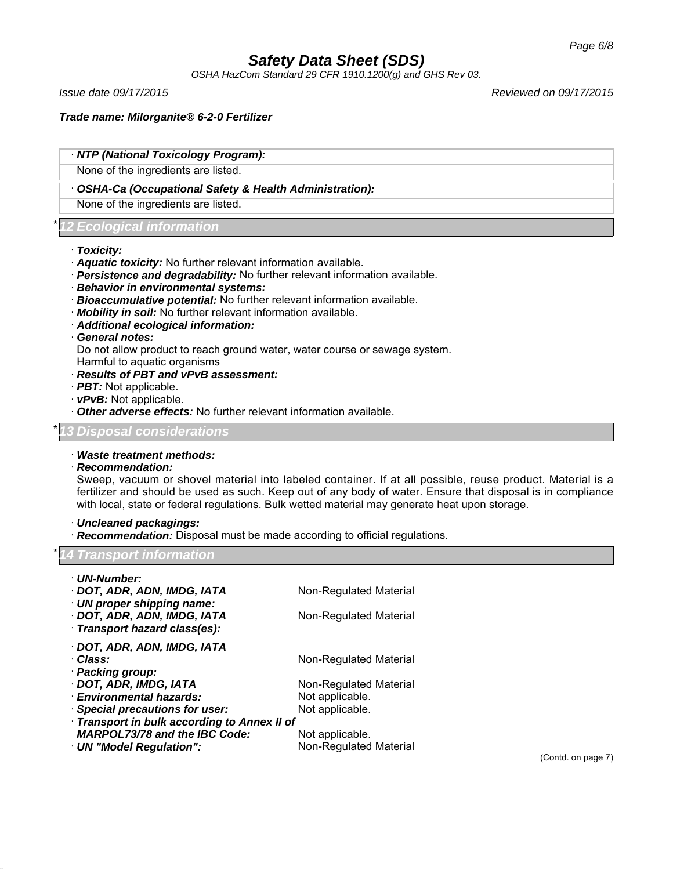*OSHA HazCom Standard 29 CFR 1910.1200(g) and GHS Rev 03.*

*Issue date 09/17/2015 Reviewed on 09/17/2015*

*Trade name: Milorganite® 6-2-0 Fertilizer*

|                            | · NTP (National Toxicology Program):                   |
|----------------------------|--------------------------------------------------------|
|                            | None of the ingredients are listed.                    |
|                            | OSHA-Ca (Occupational Safety & Health Administration): |
|                            | None of the ingredients are listed.                    |
| *12 Ecological information |                                                        |

## · *Toxicity:*

- · *Aquatic toxicity:* No further relevant information available.
- · *Persistence and degradability:* No further relevant information available.
- · *Behavior in environmental systems:*
- · *Bioaccumulative potential:* No further relevant information available.
- · *Mobility in soil:* No further relevant information available.
- · *Additional ecological information:*
- · *General notes:*

Do not allow product to reach ground water, water course or sewage system.

Harmful to aquatic organisms

## · *Results of PBT and vPvB assessment:*

- · *PBT:* Not applicable.
- · *vPvB:* Not applicable.
- · *Other adverse effects:* No further relevant information available.

## \* *13 Disposal considerations*

## · *Waste treatment methods:*

## · *Recommendation:*

Sweep, vacuum or shovel material into labeled container. If at all possible, reuse product. Material is a fertilizer and should be used as such. Keep out of any body of water. Ensure that disposal is in compliance with local, state or federal regulations. Bulk wetted material may generate heat upon storage.

## · *Uncleaned packagings:*

· *Recommendation:* Disposal must be made according to official regulations.

## *Transport information*

| · UN-Number:                               |                               |  |
|--------------------------------------------|-------------------------------|--|
| · DOT, ADR, ADN, IMDG, IATA                | Non-Regulated Material        |  |
| · UN proper shipping name:                 |                               |  |
| · DOT, ADR, ADN, IMDG, IATA                | Non-Regulated Material        |  |
| · Transport hazard class(es):              |                               |  |
| · DOT, ADR, ADN, IMDG, IATA                |                               |  |
| · Class:                                   | Non-Regulated Material        |  |
| · Packing group:                           |                               |  |
| · DOT, ADR, IMDG, IATA                     | Non-Regulated Material        |  |
| · Environmental hazards:                   | Not applicable.               |  |
| · Special precautions for user:            | Not applicable.               |  |
| Transport in bulk according to Annex II of |                               |  |
| <b>MARPOL73/78 and the IBC Code:</b>       | Not applicable.               |  |
| · UN "Model Regulation":                   | <b>Non-Regulated Material</b> |  |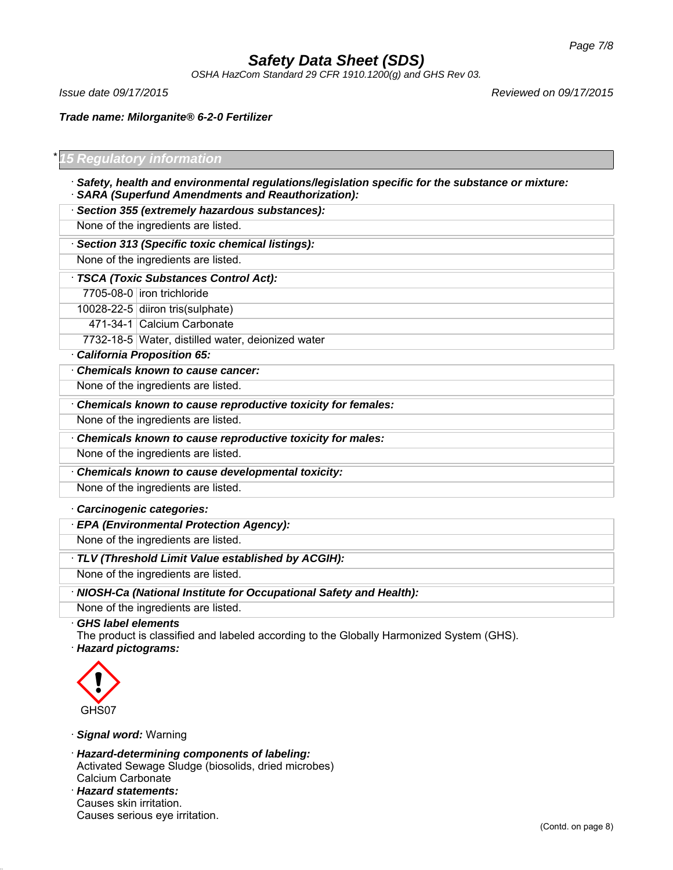*OSHA HazCom Standard 29 CFR 1910.1200(g) and GHS Rev 03.*

*Issue date 09/17/2015 Reviewed on 09/17/2015*

*Trade name: Milorganite® 6-2-0 Fertilizer*

## \* *15 Regulatory information*

· *Safety, health and environmental regulations/legislation specific for the substance or mixture:* · *SARA (Superfund Amendments and Reauthorization):*

· *Section 355 (extremely hazardous substances):*

None of the ingredients are listed.

· *Section 313 (Specific toxic chemical listings):*

None of the ingredients are listed.

· *TSCA (Toxic Substances Control Act):*

7705-08-0 iron trichloride

10028-22-5 diiron tris(sulphate)

471-34-1 Calcium Carbonate

7732-18-5 Water, distilled water, deionized water

· *California Proposition 65:*

· *Chemicals known to cause cancer:* None of the ingredients are listed.

· *Chemicals known to cause reproductive toxicity for females:*

None of the ingredients are listed.

· *Chemicals known to cause reproductive toxicity for males:*

None of the ingredients are listed.

· *Chemicals known to cause developmental toxicity:*

None of the ingredients are listed.

· *Carcinogenic categories:*

· *EPA (Environmental Protection Agency):*

None of the ingredients are listed.

· *TLV (Threshold Limit Value established by ACGIH):*

None of the ingredients are listed.

· *NIOSH-Ca (National Institute for Occupational Safety and Health):*

None of the ingredients are listed.

· *GHS label elements*

The product is classified and labeled according to the Globally Harmonized System (GHS).

· *Hazard pictograms:*



· *Signal word:* Warning

· *Hazard-determining components of labeling:* Activated Sewage Sludge (biosolids, dried microbes) Calcium Carbonate

· *Hazard statements:* Causes skin irritation. Causes serious eye irritation.